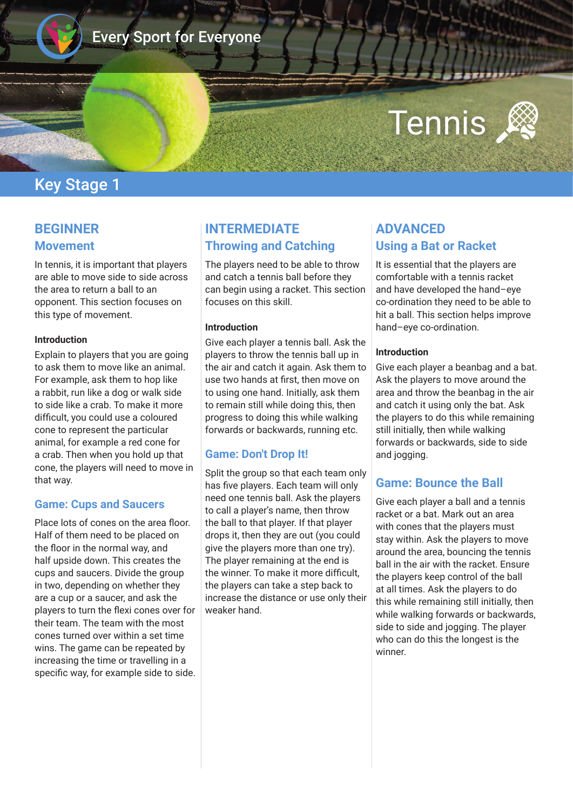

# Every Sport for Everyone

# Tennis

## Key Stage 1

## **BEGINNER Movement**

In tennis, it is important that players are able to move side to side across the area to return a ball to an opponent. This section focuses on this type of movement.

#### **Introduction**

Explain to players that you are going to ask them to move like an animal. For example, ask them to hop like a rabbit, run like a dog or walk side to side like a crab. To make it more diffcult, you could use a coloured cone to represent the particular animal, for example a red cone for a crab. Then when you hold up that cone, the players will need to move in that way.

#### **Game: Cups and Saucers**

Place lots of cones on the area floor. Half of them need to be placed on the floor in the normal way, and half upside down. This creates the cups and saucers. Divide the group in two, depending on whether they are a cup or a saucer, and ask the players to turn the fexi cones over for their team. The team with the most cones turned over within a set time wins. The game can be repeated by increasing the time or travelling in a specific way, for example side to side.

## **INTERMEDIATE Throwing and Catching**

The players need to be able to throw and catch a tennis ball before they can begin using a racket. This section focuses on this skill.

#### **Introduction**

Give each player a tennis ball. Ask the players to throw the tennis ball up in the air and catch it again. Ask them to use two hands at frst, then move on to using one hand. Initially, ask them to remain still while doing this, then progress to doing this while walking forwards or backwards, running etc.

#### **Game: Don't Drop It!**

Split the group so that each team only has five players. Each team will only need one tennis ball. Ask the players to call a player's name, then throw the ball to that player. If that player drops it, then they are out (you could give the players more than one try). The player remaining at the end is the winner. To make it more difficult, the players can take a step back to increase the distance or use only their weaker hand.

## **ADVANCED Using a Bat or Racket**

It is essential that the players are comfortable with a tennis racket and have developed the hand–eye co-ordination they need to be able to hit a ball. This section helps improve hand–eye co-ordination.

#### **Introduction**

Give each player a beanbag and a bat. Ask the players to move around the area and throw the beanbag in the air and catch it using only the bat. Ask the players to do this while remaining still initially, then while walking forwards or backwards, side to side and jogging.

### **Game: Bounce the Ball**

Give each player a ball and a tennis racket or a bat. Mark out an area with cones that the players must stay within. Ask the players to move around the area, bouncing the tennis ball in the air with the racket. Ensure the players keep control of the ball at all times. Ask the players to do this while remaining still initially, then while walking forwards or backwards, side to side and jogging. The player who can do this the longest is the winner.